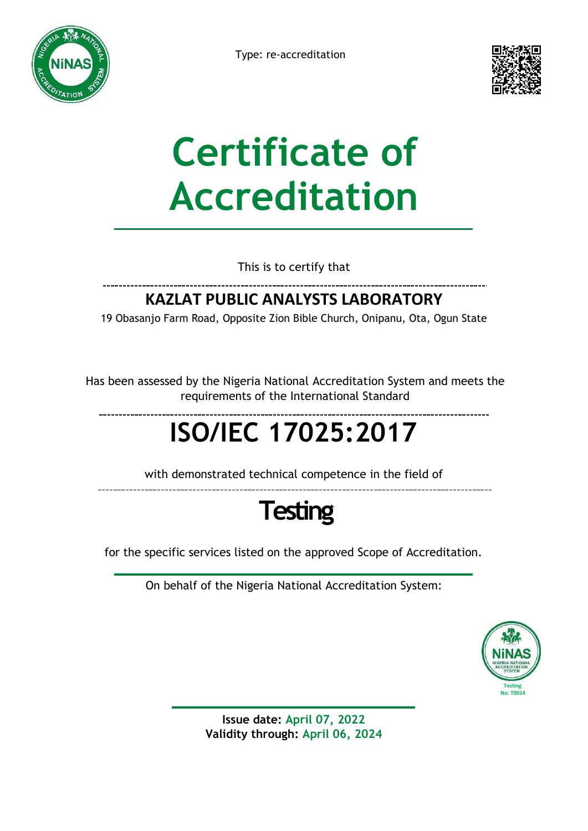



# **Certificate of Accreditation**

This is to certify that

### **KAZLAT PUBLIC ANALYSTS LABORATORY**

19 Obasanjo Farm Road, Opposite Zion Bible Church, Onipanu, Ota, Ogun State

Has been assessed by the Nigeria National Accreditation System and meets the requirements of the International Standard

## **ISO/IEC 17025:2017**

with demonstrated technical competence in the field of

### **Testing**

for the specific services listed on the approved Scope of Accreditation.

On behalf of the Nigeria National Accreditation System:



**Issue date: April 07, 2022 Validity through: April 06, 2024**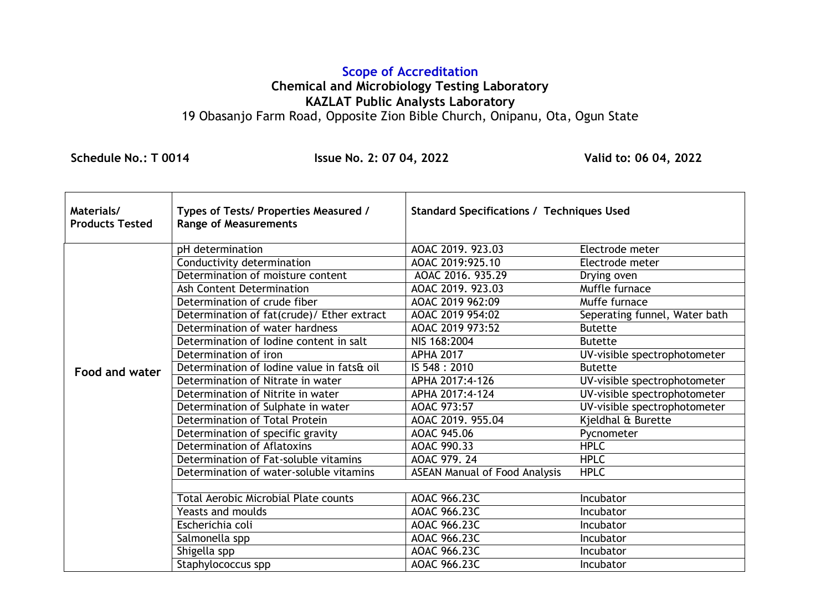#### **Scope of Accreditation Chemical and Microbiology Testing Laboratory KAZLAT Public Analysts Laboratory** 19 Obasanjo Farm Road, Opposite Zion Bible Church, Onipanu, Ota, Ogun State

 **Schedule No.: T 0014 Issue No. 2: 07 04, 2022 Valid to: 06 04, 2022**

| Materials/<br><b>Products Tested</b> | Types of Tests/ Properties Measured /<br><b>Range of Measurements</b> | <b>Standard Specifications / Techniques Used</b> |                               |
|--------------------------------------|-----------------------------------------------------------------------|--------------------------------------------------|-------------------------------|
|                                      | pH determination                                                      | AOAC 2019. 923.03                                | Electrode meter               |
|                                      | Conductivity determination                                            | AOAC 2019:925.10                                 | Electrode meter               |
|                                      | Determination of moisture content                                     | AOAC 2016. 935.29                                | Drying oven                   |
|                                      | <b>Ash Content Determination</b>                                      | AOAC 2019. 923.03                                | Muffle furnace                |
|                                      | Determination of crude fiber                                          | AOAC 2019 962:09                                 | Muffe furnace                 |
|                                      | Determination of fat(crude)/ Ether extract                            | AOAC 2019 954:02                                 | Seperating funnel, Water bath |
|                                      | Determination of water hardness                                       | AOAC 2019 973:52                                 | <b>Butette</b>                |
|                                      | Determination of lodine content in salt                               | NIS 168:2004                                     | <b>Butette</b>                |
|                                      | Determination of iron                                                 | <b>APHA 2017</b>                                 | UV-visible spectrophotometer  |
| <b>Food and water</b>                | Determination of lodine value in fats& oil                            | IS 548: 2010                                     | <b>Butette</b>                |
|                                      | Determination of Nitrate in water                                     | APHA 2017:4-126                                  | UV-visible spectrophotometer  |
|                                      | Determination of Nitrite in water                                     | APHA 2017:4-124                                  | UV-visible spectrophotometer  |
|                                      | Determination of Sulphate in water                                    | AOAC 973:57                                      | UV-visible spectrophotometer  |
|                                      | Determination of Total Protein                                        | AOAC 2019. 955.04                                | Kjeldhal & Burette            |
|                                      | Determination of specific gravity                                     | AOAC 945.06                                      | Pycnometer                    |
|                                      | <b>Determination of Aflatoxins</b>                                    | AOAC 990.33                                      | <b>HPLC</b>                   |
|                                      | Determination of Fat-soluble vitamins                                 | AOAC 979.24                                      | <b>HPLC</b>                   |
|                                      | Determination of water-soluble vitamins                               | <b>ASEAN Manual of Food Analysis</b>             | <b>HPLC</b>                   |
|                                      |                                                                       |                                                  |                               |
|                                      | <b>Total Aerobic Microbial Plate counts</b>                           | AOAC 966.23C                                     | Incubator                     |
|                                      | <b>Yeasts and moulds</b>                                              | AOAC 966.23C                                     | Incubator                     |
|                                      | Escherichia coli                                                      | AOAC 966.23C                                     | Incubator                     |
|                                      | Salmonella spp                                                        | AOAC 966.23C                                     | <b>Incubator</b>              |
|                                      | Shigella spp                                                          | AOAC 966.23C                                     | Incubator                     |
|                                      | Staphylococcus spp                                                    | AOAC 966.23C                                     | Incubator                     |